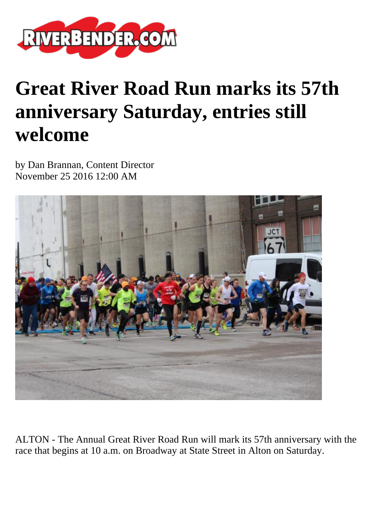

## **Great River Road Run marks its 57th anniversary Saturday, entries still welcome**

by Dan Brannan, Content Director November 25 2016 12:00 AM



ALTON - The Annual Great River Road Run will mark its 57th anniversary with the race that begins at 10 a.m. on Broadway at State Street in Alton on Saturday.